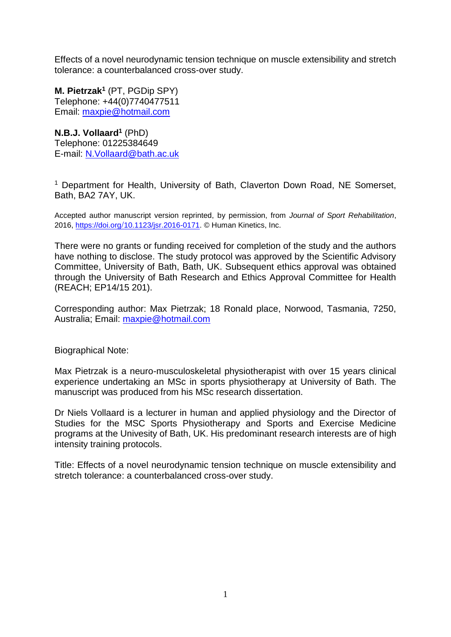Effects of a novel neurodynamic tension technique on muscle extensibility and stretch tolerance: a counterbalanced cross-over study.

**M. Pietrzak<sup>1</sup>** (PT, PGDip SPY) Telephone: +44(0)7740477511 Email: [maxpie@hotmail.com](mailto:maxpie@hotmail.com)

**N.B.J. Vollaard<sup>1</sup>** (PhD) Telephone: 01225384649 E-mail: [N.Vollaard@bath.ac.uk](mailto:N.Vollaard@bath.ac.uk)

<sup>1</sup> Department for Health, University of Bath, Claverton Down Road, NE Somerset, Bath, BA2 7AY, UK.

Accepted author manuscript version reprinted, by permission, from *Journal of Sport Rehabilitation*, 2016, https://doi.org/[10.1123/jsr.2016-0171.](https://doi.org/10.1123/jsr.2016-0171) © Human Kinetics, Inc.

There were no grants or funding received for completion of the study and the authors have nothing to disclose. The study protocol was approved by the Scientific Advisory Committee, University of Bath, Bath, UK. Subsequent ethics approval was obtained through the University of Bath Research and Ethics Approval Committee for Health (REACH; EP14/15 201).

Corresponding author: Max Pietrzak; 18 Ronald place, Norwood, Tasmania, 7250, Australia; Email: [maxpie@hotmail.com](mailto:maxpie@hotmail.com)

Biographical Note:

Max Pietrzak is a neuro-musculoskeletal physiotherapist with over 15 years clinical experience undertaking an MSc in sports physiotherapy at University of Bath. The manuscript was produced from his MSc research dissertation.

Dr Niels Vollaard is a lecturer in human and applied physiology and the Director of Studies for the MSC Sports Physiotherapy and Sports and Exercise Medicine programs at the Univesity of Bath, UK. His predominant research interests are of high intensity training protocols.

Title: Effects of a novel neurodynamic tension technique on muscle extensibility and stretch tolerance: a counterbalanced cross-over study.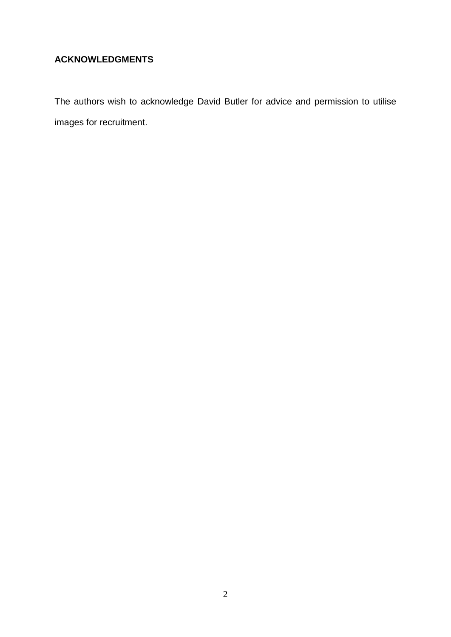## **ACKNOWLEDGMENTS**

The authors wish to acknowledge David Butler for advice and permission to utilise images for recruitment.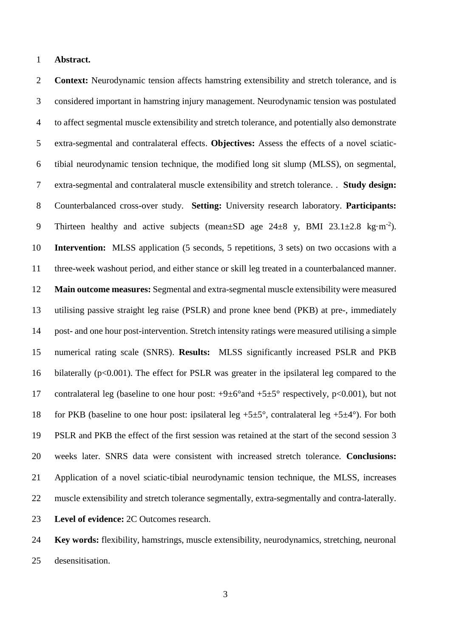#### **Abstract.**

 **Context:** Neurodynamic tension affects hamstring extensibility and stretch tolerance, and is considered important in hamstring injury management. Neurodynamic tension was postulated to affect segmental muscle extensibility and stretch tolerance, and potentially also demonstrate extra-segmental and contralateral effects. **Objectives:** Assess the effects of a novel sciatic- tibial neurodynamic tension technique, the modified long sit slump (MLSS), on segmental, extra-segmental and contralateral muscle extensibility and stretch tolerance. . **Study design:**  Counterbalanced cross-over study. **Setting:** University research laboratory. **Participants:** 9 Thirteen healthy and active subjects (mean $\pm$ SD age 24 $\pm$ 8 y, BMI 23.1 $\pm$ 2.8 kg·m<sup>-2</sup>). **Intervention:** MLSS application (5 seconds, 5 repetitions, 3 sets) on two occasions with a three-week washout period, and either stance or skill leg treated in a counterbalanced manner. **Main outcome measures:** Segmental and extra-segmental muscle extensibility were measured utilising passive straight leg raise (PSLR) and prone knee bend (PKB) at pre-, immediately post- and one hour post-intervention. Stretch intensity ratings were measured utilising a simple numerical rating scale (SNRS). **Results:** MLSS significantly increased PSLR and PKB bilaterally (p<0.001). The effect for PSLR was greater in the ipsilateral leg compared to the 17 contralateral leg (baseline to one hour post:  $+9\pm6^{\circ}$  and  $+5\pm5^{\circ}$  respectively, p<0.001), but not 18 for PKB (baseline to one hour post: ipsilateral leg  $+5\pm5^{\circ}$ , contralateral leg  $+5\pm4^{\circ}$ ). For both PSLR and PKB the effect of the first session was retained at the start of the second session 3 weeks later. SNRS data were consistent with increased stretch tolerance. **Conclusions:** Application of a novel sciatic-tibial neurodynamic tension technique, the MLSS, increases muscle extensibility and stretch tolerance segmentally, extra-segmentally and contra-laterally. **Level of evidence:** 2C Outcomes research.

 **Key words:** flexibility, hamstrings, muscle extensibility, neurodynamics, stretching, neuronal desensitisation.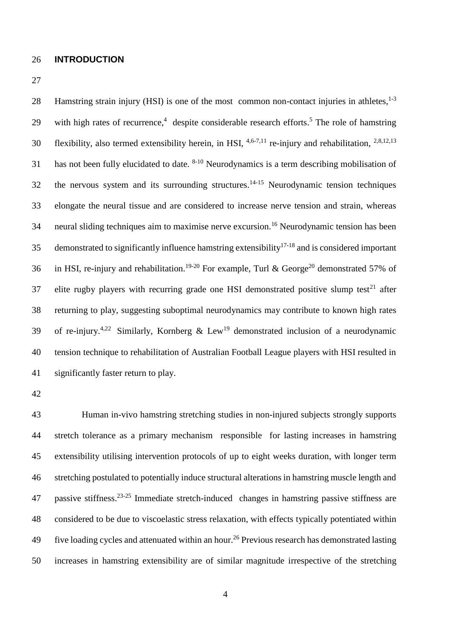#### 26 **INTRODUCTION**

27

Hamstring strain injury (HSI) is one of the most common non-contact injuries in athletes,<sup>1-3</sup> 28 29 with high rates of recurrence,<sup>4</sup> despite considerable research efforts.<sup>5</sup> The role of hamstring 30 flexibility, also termed extensibility herein, in HSI,  $4,6-7,11$  re-injury and rehabilitation,  $2,8,12,13$ 31 has not been fully elucidated to date.  $8-10$  Neurodynamics is a term describing mobilisation of 32 the nervous system and its surrounding structures.<sup>14-15</sup> Neurodynamic tension techniques 33 elongate the neural tissue and are considered to increase nerve tension and strain, whereas 34 neural sliding techniques aim to maximise nerve excursion.<sup>16</sup> Neurodynamic tension has been 35 demonstrated to significantly influence hamstring extensibility<sup>17-18</sup> and is considered important 36 in HSI, re-injury and rehabilitation.<sup>19-20</sup> For example, Turl & George<sup>20</sup> demonstrated 57% of 37 elite rugby players with recurring grade one HSI demonstrated positive slump test $^{21}$  after 38 returning to play, suggesting suboptimal neurodynamics may contribute to known high rates 39 of re-injury.<sup>4,22</sup> Similarly, Kornberg & Lew<sup>19</sup> demonstrated inclusion of a neurodynamic 40 tension technique to rehabilitation of Australian Football League players with HSI resulted in 41 significantly faster return to play.

42

 Human in-vivo hamstring stretching studies in non-injured subjects strongly supports stretch tolerance as a primary mechanism responsible for lasting increases in hamstring extensibility utilising intervention protocols of up to eight weeks duration, with longer term stretching postulated to potentially induce structural alterations in hamstring muscle length and passive stiffness.<sup>23-25</sup> Immediate stretch-induced changes in hamstring passive stiffness are considered to be due to viscoelastic stress relaxation, with effects typically potentiated within 49 Five loading cycles and attenuated within an hour.<sup>26</sup> Previous research has demonstrated lasting increases in hamstring extensibility are of similar magnitude irrespective of the stretching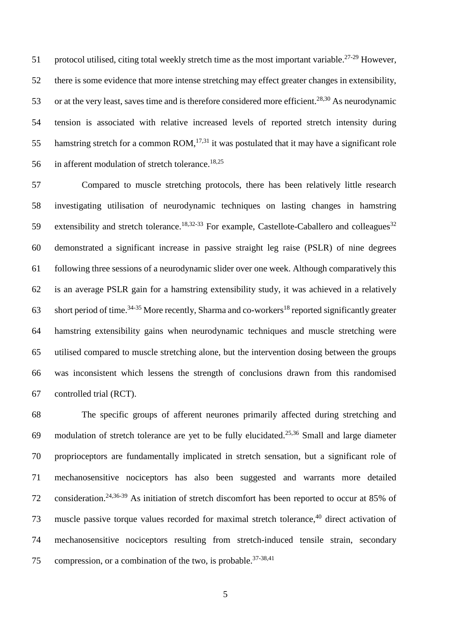51 protocol utilised, citing total weekly stretch time as the most important variable.<sup>27-29</sup> However, there is some evidence that more intense stretching may effect greater changes in extensibility, 53 or at the very least, saves time and is therefore considered more efficient.<sup>28,30</sup> As neurodynamic tension is associated with relative increased levels of reported stretch intensity during 55 hamstring stretch for a common ROM,<sup>17,31</sup> it was postulated that it may have a significant role in afferent modulation of stretch tolerance.<sup>18,25</sup> 

 Compared to muscle stretching protocols, there has been relatively little research investigating utilisation of neurodynamic techniques on lasting changes in hamstring extensibility and stretch tolerance.<sup>18,32-33</sup> For example, Castellote-Caballero and colleagues<sup>32</sup> demonstrated a significant increase in passive straight leg raise (PSLR) of nine degrees following three sessions of a neurodynamic slider over one week. Although comparatively this is an average PSLR gain for a hamstring extensibility study, it was achieved in a relatively 63 short period of time.<sup>34-35</sup> More recently, Sharma and co-workers<sup>18</sup> reported significantly greater hamstring extensibility gains when neurodynamic techniques and muscle stretching were utilised compared to muscle stretching alone, but the intervention dosing between the groups was inconsistent which lessens the strength of conclusions drawn from this randomised controlled trial (RCT).

 The specific groups of afferent neurones primarily affected during stretching and 69 modulation of stretch tolerance are yet to be fully elucidated.<sup>25,36</sup> Small and large diameter proprioceptors are fundamentally implicated in stretch sensation, but a significant role of mechanosensitive nociceptors has also been suggested and warrants more detailed 72 consideration.<sup>24,36-39</sup> As initiation of stretch discomfort has been reported to occur at 85% of 73 muscle passive torque values recorded for maximal stretch tolerance,<sup>40</sup> direct activation of mechanosensitive nociceptors resulting from stretch-induced tensile strain, secondary compression, or a combination of the two, is probable.<sup>37-38,41</sup>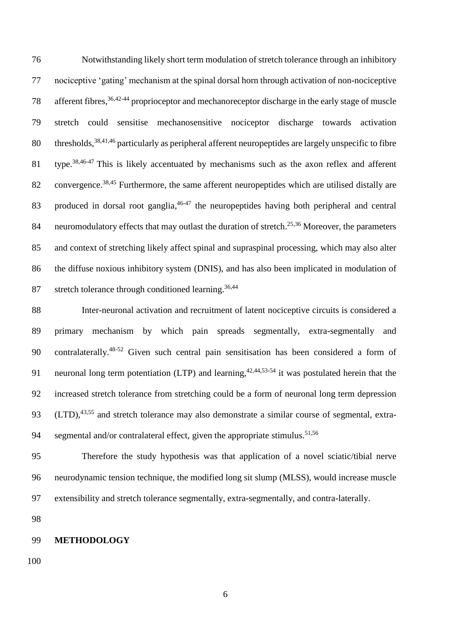Notwithstanding likely short term modulation of stretch tolerance through an inhibitory nociceptive 'gating' mechanism at the spinal dorsal horn through activation of non-nociceptive 78 afferent fibres,<sup>36,42-44</sup> proprioceptor and mechanoreceptor discharge in the early stage of muscle stretch could sensitise mechanosensitive nociceptor discharge towards activation 80 thresholds, <sup>38,41,46</sup> particularly as peripheral afferent neuropeptides are largely unspecific to fibre 81 type.<sup>38,46-47</sup> This is likely accentuated by mechanisms such as the axon reflex and afferent 82 convergence.<sup>38,45</sup> Furthermore, the same afferent neuropeptides which are utilised distally are 83 produced in dorsal root ganglia,<sup>46-47</sup> the neuropeptides having both peripheral and central 84 neuromodulatory effects that may outlast the duration of stretch.<sup>25,36</sup> Moreover, the parameters and context of stretching likely affect spinal and supraspinal processing, which may also alter the diffuse noxious inhibitory system (DNIS), and has also been implicated in modulation of stretch tolerance through conditioned learning.<sup>36,44</sup> 

 Inter-neuronal activation and recruitment of latent nociceptive circuits is considered a primary mechanism by which pain spreads segmentally, extra-segmentally and 90 contralaterally.<sup>48-52</sup> Given such central pain sensitisation has been considered a form of 91 neuronal long term potentiation (LTP) and learning,  $42,44,53.54$  it was postulated herein that the increased stretch tolerance from stretching could be a form of neuronal long term depression 93 (LTD),<sup>43,55</sup> and stretch tolerance may also demonstrate a similar course of segmental, extrasegmental and/or contralateral effect, given the appropriate stimulus.<sup>51,56</sup> 

 Therefore the study hypothesis was that application of a novel sciatic/tibial nerve neurodynamic tension technique, the modified long sit slump (MLSS), would increase muscle extensibility and stretch tolerance segmentally, extra-segmentally, and contra-laterally.

#### **METHODOLOGY**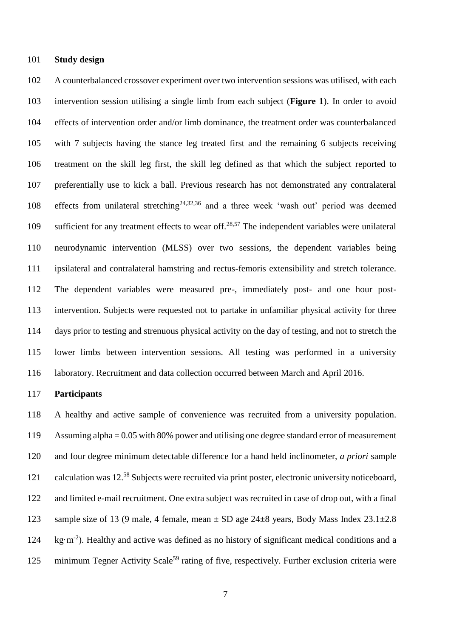#### **Study design**

 A counterbalanced crossover experiment over two intervention sessions was utilised, with each intervention session utilising a single limb from each subject (**Figure 1**). In order to avoid effects of intervention order and/or limb dominance, the treatment order was counterbalanced with 7 subjects having the stance leg treated first and the remaining 6 subjects receiving treatment on the skill leg first, the skill leg defined as that which the subject reported to preferentially use to kick a ball. Previous research has not demonstrated any contralateral 108 effects from unilateral stretching<sup>24,32,36</sup> and a three week 'wash out' period was deemed 109 sufficient for any treatment effects to wear off.<sup>28,57</sup> The independent variables were unilateral neurodynamic intervention (MLSS) over two sessions, the dependent variables being ipsilateral and contralateral hamstring and rectus-femoris extensibility and stretch tolerance. The dependent variables were measured pre-, immediately post- and one hour post- intervention. Subjects were requested not to partake in unfamiliar physical activity for three days prior to testing and strenuous physical activity on the day of testing, and not to stretch the lower limbs between intervention sessions. All testing was performed in a university laboratory. Recruitment and data collection occurred between March and April 2016.

#### **Participants**

 A healthy and active sample of convenience was recruited from a university population. Assuming alpha = 0.05 with 80% power and utilising one degree standard error of measurement and four degree minimum detectable difference for a hand held inclinometer, *a priori* sample 121 calculation was 12.<sup>58</sup> Subjects were recruited via print poster, electronic university noticeboard, and limited e-mail recruitment. One extra subject was recruited in case of drop out, with a final 123 sample size of 13 (9 male, 4 female, mean  $\pm$  SD age 24 $\pm$ 8 years, Body Mass Index 23.1 $\pm$ 2.8 124 kg·m<sup>-2</sup>). Healthy and active was defined as no history of significant medical conditions and a 125 minimum Tegner Activity Scale<sup>59</sup> rating of five, respectively. Further exclusion criteria were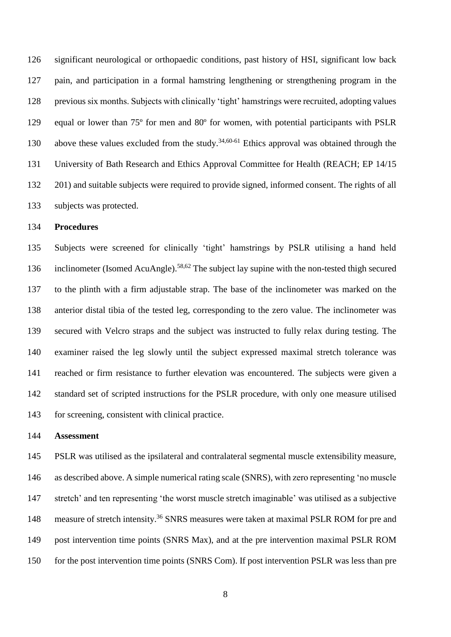significant neurological or orthopaedic conditions, past history of HSI, significant low back pain, and participation in a formal hamstring lengthening or strengthening program in the previous six months. Subjects with clinically 'tight' hamstrings were recruited, adopting values equal or lower than 75º for men and 80º for women, with potential participants with PSLR 130 above these values excluded from the study.<sup>34,60-61</sup> Ethics approval was obtained through the University of Bath Research and Ethics Approval Committee for Health (REACH; EP 14/15 201) and suitable subjects were required to provide signed, informed consent. The rights of all subjects was protected.

#### **Procedures**

 Subjects were screened for clinically 'tight' hamstrings by PSLR utilising a hand held 136 inclinometer (Isomed AcuAngle).<sup>58,62</sup> The subject lay supine with the non-tested thigh secured to the plinth with a firm adjustable strap. The base of the inclinometer was marked on the anterior distal tibia of the tested leg, corresponding to the zero value. The inclinometer was secured with Velcro straps and the subject was instructed to fully relax during testing. The examiner raised the leg slowly until the subject expressed maximal stretch tolerance was reached or firm resistance to further elevation was encountered. The subjects were given a standard set of scripted instructions for the PSLR procedure, with only one measure utilised for screening, consistent with clinical practice.

#### **Assessment**

 PSLR was utilised as the ipsilateral and contralateral segmental muscle extensibility measure, as described above. A simple numerical rating scale (SNRS), with zero representing 'no muscle stretch' and ten representing 'the worst muscle stretch imaginable' was utilised as a subjective 148 measure of stretch intensity.<sup>36</sup> SNRS measures were taken at maximal PSLR ROM for pre and post intervention time points (SNRS Max), and at the pre intervention maximal PSLR ROM 150 for the post intervention time points (SNRS Com). If post intervention PSLR was less than pre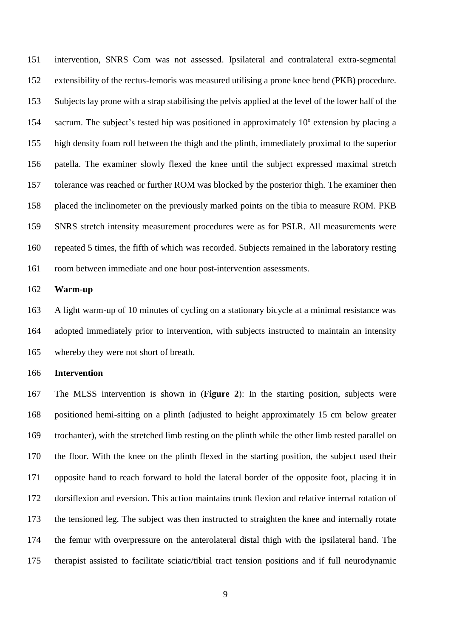intervention, SNRS Com was not assessed. Ipsilateral and contralateral extra-segmental extensibility of the rectus-femoris was measured utilising a prone knee bend (PKB) procedure. Subjects lay prone with a strap stabilising the pelvis applied at the level of the lower half of the sacrum. The subject's tested hip was positioned in approximately 10º extension by placing a high density foam roll between the thigh and the plinth, immediately proximal to the superior patella. The examiner slowly flexed the knee until the subject expressed maximal stretch tolerance was reached or further ROM was blocked by the posterior thigh. The examiner then placed the inclinometer on the previously marked points on the tibia to measure ROM. PKB SNRS stretch intensity measurement procedures were as for PSLR. All measurements were repeated 5 times, the fifth of which was recorded. Subjects remained in the laboratory resting room between immediate and one hour post-intervention assessments.

#### **Warm-up**

 A light warm-up of 10 minutes of cycling on a stationary bicycle at a minimal resistance was adopted immediately prior to intervention, with subjects instructed to maintain an intensity whereby they were not short of breath.

#### **Intervention**

 The MLSS intervention is shown in (**Figure 2**): In the starting position, subjects were positioned hemi-sitting on a plinth (adjusted to height approximately 15 cm below greater trochanter), with the stretched limb resting on the plinth while the other limb rested parallel on the floor. With the knee on the plinth flexed in the starting position, the subject used their opposite hand to reach forward to hold the lateral border of the opposite foot, placing it in dorsiflexion and eversion. This action maintains trunk flexion and relative internal rotation of the tensioned leg. The subject was then instructed to straighten the knee and internally rotate the femur with overpressure on the anterolateral distal thigh with the ipsilateral hand. The therapist assisted to facilitate sciatic/tibial tract tension positions and if full neurodynamic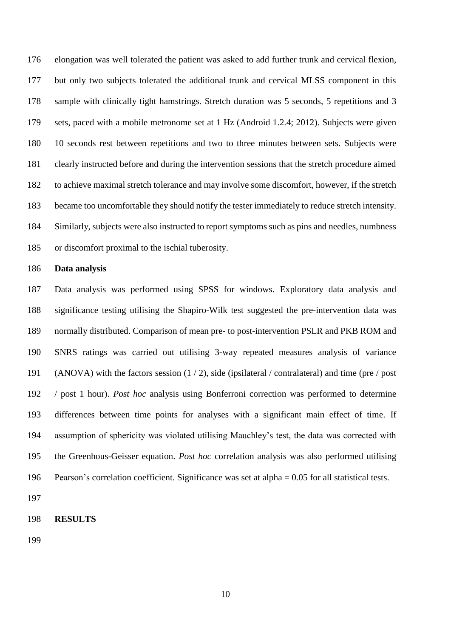elongation was well tolerated the patient was asked to add further trunk and cervical flexion, but only two subjects tolerated the additional trunk and cervical MLSS component in this sample with clinically tight hamstrings. Stretch duration was 5 seconds, 5 repetitions and 3 sets, paced with a mobile metronome set at 1 Hz (Android 1.2.4; 2012). Subjects were given 10 seconds rest between repetitions and two to three minutes between sets. Subjects were clearly instructed before and during the intervention sessions that the stretch procedure aimed to achieve maximal stretch tolerance and may involve some discomfort, however, if the stretch became too uncomfortable they should notify the tester immediately to reduce stretch intensity. Similarly, subjects were also instructed to report symptoms such as pins and needles, numbness or discomfort proximal to the ischial tuberosity.

#### **Data analysis**

 Data analysis was performed using SPSS for windows. Exploratory data analysis and significance testing utilising the Shapiro-Wilk test suggested the pre-intervention data was normally distributed. Comparison of mean pre- to post-intervention PSLR and PKB ROM and SNRS ratings was carried out utilising 3-way repeated measures analysis of variance (ANOVA) with the factors session (1 / 2), side (ipsilateral / contralateral) and time (pre / post / post 1 hour). *Post hoc* analysis using Bonferroni correction was performed to determine differences between time points for analyses with a significant main effect of time. If assumption of sphericity was violated utilising Mauchley's test, the data was corrected with the Greenhous-Geisser equation. *Post hoc* correlation analysis was also performed utilising Pearson's correlation coefficient. Significance was set at alpha = 0.05 for all statistical tests.

#### **RESULTS**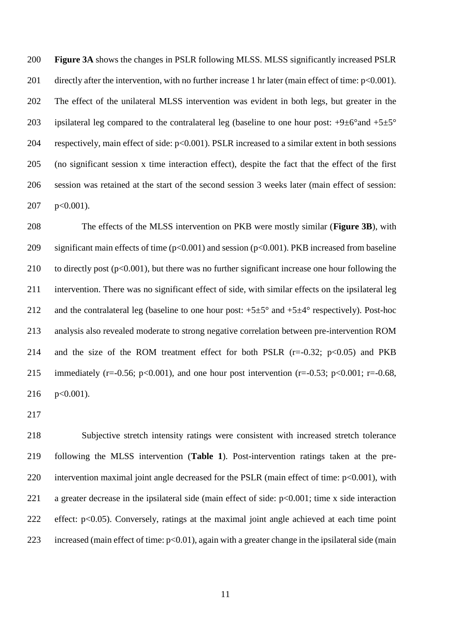**Figure 3A** shows the changes in PSLR following MLSS. MLSS significantly increased PSLR 201 directly after the intervention, with no further increase 1 hr later (main effect of time:  $p<0.001$ ). The effect of the unilateral MLSS intervention was evident in both legs, but greater in the 203 ipsilateral leg compared to the contralateral leg (baseline to one hour post:  $+9\pm6^{\circ}$  and  $+5\pm5^{\circ}$  respectively, main effect of side: p<0.001). PSLR increased to a similar extent in both sessions (no significant session x time interaction effect), despite the fact that the effect of the first session was retained at the start of the second session 3 weeks later (main effect of session: p<0.001).

 The effects of the MLSS intervention on PKB were mostly similar (**Figure 3B**), with significant main effects of time (p<0.001) and session (p<0.001). PKB increased from baseline 210 to directly post (p<0.001), but there was no further significant increase one hour following the intervention. There was no significant effect of side, with similar effects on the ipsilateral leg 212 and the contralateral leg (baseline to one hour post:  $+5\pm5^{\circ}$  and  $+5\pm4^{\circ}$  respectively). Post-hoc analysis also revealed moderate to strong negative correlation between pre-intervention ROM 214 and the size of the ROM treatment effect for both PSLR  $(r=0.32; p<0.05)$  and PKB 215 immediately (r=-0.56; p<0.001), and one hour post intervention (r=-0.53; p<0.001; r=-0.68, p<0.001).

 Subjective stretch intensity ratings were consistent with increased stretch tolerance following the MLSS intervention (**Table 1**). Post-intervention ratings taken at the pre-220 intervention maximal joint angle decreased for the PSLR (main effect of time:  $p<0.001$ ), with a greater decrease in the ipsilateral side (main effect of side: p<0.001; time x side interaction effect: p<0.05). Conversely, ratings at the maximal joint angle achieved at each time point 223 increased (main effect of time:  $p<0.01$ ), again with a greater change in the ipsilateral side (main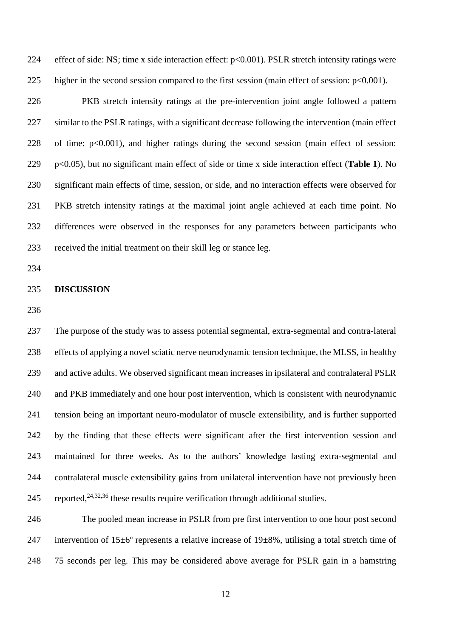effect of side: NS; time x side interaction effect: p<0.001). PSLR stretch intensity ratings were 225 higher in the second session compared to the first session (main effect of session:  $p<0.001$ ).

 PKB stretch intensity ratings at the pre-intervention joint angle followed a pattern similar to the PSLR ratings, with a significant decrease following the intervention (main effect of time: p<0.001), and higher ratings during the second session (main effect of session: p<0.05), but no significant main effect of side or time x side interaction effect (**Table 1**). No significant main effects of time, session, or side, and no interaction effects were observed for PKB stretch intensity ratings at the maximal joint angle achieved at each time point. No differences were observed in the responses for any parameters between participants who received the initial treatment on their skill leg or stance leg.

#### **DISCUSSION**

 The purpose of the study was to assess potential segmental, extra-segmental and contra-lateral effects of applying a novel sciatic nerve neurodynamic tension technique, the MLSS, in healthy and active adults. We observed significant mean increases in ipsilateral and contralateral PSLR and PKB immediately and one hour post intervention, which is consistent with neurodynamic tension being an important neuro-modulator of muscle extensibility, and is further supported by the finding that these effects were significant after the first intervention session and maintained for three weeks. As to the authors' knowledge lasting extra-segmental and contralateral muscle extensibility gains from unilateral intervention have not previously been 245 reported,  $24,32,36$  these results require verification through additional studies.

 The pooled mean increase in PSLR from pre first intervention to one hour post second 247 intervention of  $15\pm6^\circ$  represents a relative increase of  $19\pm8\%$ , utilising a total stretch time of 75 seconds per leg. This may be considered above average for PSLR gain in a hamstring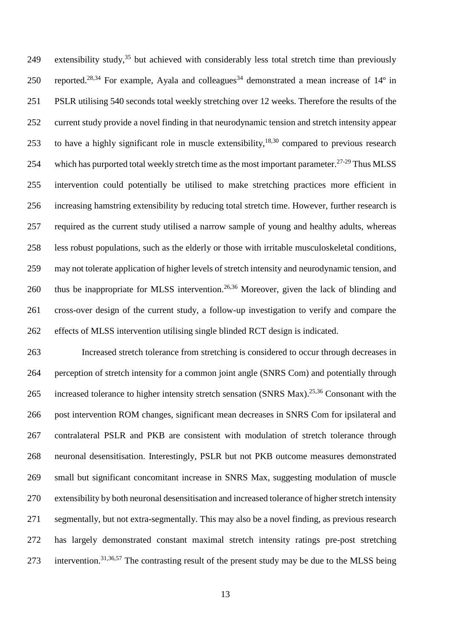249 extensibility study,<sup>35</sup> but achieved with considerably less total stretch time than previously 250 reported.<sup>28,34</sup> For example, Ayala and colleagues<sup>34</sup> demonstrated a mean increase of  $14^{\circ}$  in PSLR utilising 540 seconds total weekly stretching over 12 weeks. Therefore the results of the current study provide a novel finding in that neurodynamic tension and stretch intensity appear 253 to have a highly significant role in muscle extensibility,  $18,30$  compared to previous research 254 which has purported total weekly stretch time as the most important parameter.<sup>27-29</sup> Thus MLSS intervention could potentially be utilised to make stretching practices more efficient in increasing hamstring extensibility by reducing total stretch time. However, further research is required as the current study utilised a narrow sample of young and healthy adults, whereas less robust populations, such as the elderly or those with irritable musculoskeletal conditions, may not tolerate application of higher levels of stretch intensity and neurodynamic tension, and 260 thus be inappropriate for MLSS intervention.<sup>26,36</sup> Moreover, given the lack of blinding and cross-over design of the current study, a follow-up investigation to verify and compare the effects of MLSS intervention utilising single blinded RCT design is indicated.

 Increased stretch tolerance from stretching is considered to occur through decreases in perception of stretch intensity for a common joint angle (SNRS Com) and potentially through 265 increased tolerance to higher intensity stretch sensation (SNRS Max).<sup>25,36</sup> Consonant with the post intervention ROM changes, significant mean decreases in SNRS Com for ipsilateral and contralateral PSLR and PKB are consistent with modulation of stretch tolerance through neuronal desensitisation. Interestingly, PSLR but not PKB outcome measures demonstrated small but significant concomitant increase in SNRS Max, suggesting modulation of muscle extensibility by both neuronal desensitisation and increased tolerance of higher stretch intensity segmentally, but not extra-segmentally. This may also be a novel finding, as previous research has largely demonstrated constant maximal stretch intensity ratings pre-post stretching 273 intervention.<sup>31,36,57</sup> The contrasting result of the present study may be due to the MLSS being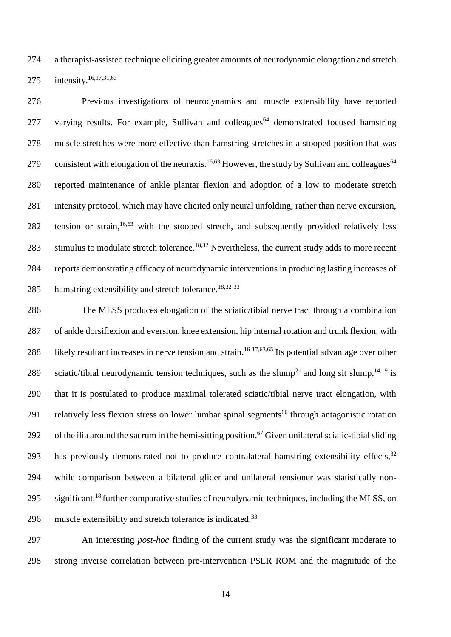274 a therapist-assisted technique eliciting greater amounts of neurodynamic elongation and stretch intensity. 16,17,31,63 275

276 Previous investigations of neurodynamics and muscle extensibility have reported 277 varying results. For example, Sullivan and colleagues<sup>64</sup> demonstrated focused hamstring 278 muscle stretches were more effective than hamstring stretches in a stooped position that was consistent with elongation of the neuraxis.<sup>16,63</sup> However, the study by Sullivan and colleagues<sup>64</sup> 279 280 reported maintenance of ankle plantar flexion and adoption of a low to moderate stretch 281 intensity protocol, which may have elicited only neural unfolding, rather than nerve excursion, 282 tension or strain, <sup>16,63</sup> with the stooped stretch, and subsequently provided relatively less 283 stimulus to modulate stretch tolerance.<sup>18,32</sup> Nevertheless, the current study adds to more recent 284 reports demonstrating efficacy of neurodynamic interventions in producing lasting increases of hamstring extensibility and stretch tolerance.<sup>18,32-33</sup> 285

286 The MLSS produces elongation of the sciatic/tibial nerve tract through a combination 287 of ankle dorsiflexion and eversion, knee extension, hip internal rotation and trunk flexion, with 288 likely resultant increases in nerve tension and strain.<sup>16-17,63,65</sup> Its potential advantage over other 289 sciatic/tibial neurodynamic tension techniques, such as the slump<sup>21</sup> and long sit slump, <sup>14,19</sup> is 290 that it is postulated to produce maximal tolerated sciatic/tibial nerve tract elongation, with 291 relatively less flexion stress on lower lumbar spinal segments<sup>66</sup> through antagonistic rotation 292 of the ilia around the sacrum in the hemi-sitting position.<sup>67</sup> Given unilateral sciatic-tibial sliding has previously demonstrated not to produce contralateral hamstring extensibility effects,<sup>32</sup> 293 294 while comparison between a bilateral glider and unilateral tensioner was statistically non-295 significant,  $^{18}$  further comparative studies of neurodynamic techniques, including the MLSS, on muscle extensibility and stretch tolerance is indicated.<sup>33</sup> 296

297 An interesting *post-hoc* finding of the current study was the significant moderate to 298 strong inverse correlation between pre-intervention PSLR ROM and the magnitude of the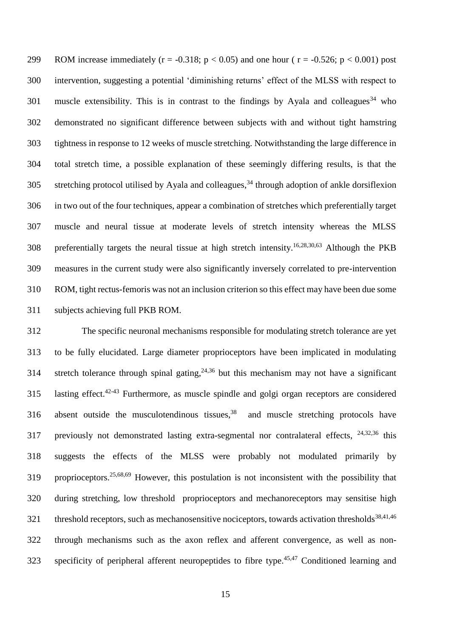299 ROM increase immediately ( $r = -0.318$ ;  $p < 0.05$ ) and one hour ( $r = -0.526$ ;  $p < 0.001$ ) post intervention, suggesting a potential 'diminishing returns' effect of the MLSS with respect to 301 muscle extensibility. This is in contrast to the findings by Ayala and colleagues<sup>34</sup> who demonstrated no significant difference between subjects with and without tight hamstring tightness in response to 12 weeks of muscle stretching. Notwithstanding the large difference in total stretch time, a possible explanation of these seemingly differing results, is that the 305 stretching protocol utilised by Ayala and colleagues, through adoption of ankle dorsiflexion in two out of the four techniques, appear a combination of stretches which preferentially target muscle and neural tissue at moderate levels of stretch intensity whereas the MLSS 308 preferentially targets the neural tissue at high stretch intensity.<sup>16,28,30,63</sup> Although the PKB measures in the current study were also significantly inversely correlated to pre-intervention ROM, tight rectus-femoris was not an inclusion criterion so this effect may have been due some subjects achieving full PKB ROM.

 The specific neuronal mechanisms responsible for modulating stretch tolerance are yet to be fully elucidated. Large diameter proprioceptors have been implicated in modulating 314 stretch tolerance through spinal gating,  $24,36$  but this mechanism may not have a significant 315 lasting effect.<sup>42-43</sup> Furthermore, as muscle spindle and golgi organ receptors are considered 316 absent outside the musculotendinous tissues,<sup>38</sup> and muscle stretching protocols have 317 previously not demonstrated lasting extra-segmental nor contralateral effects,  $24,32,36$  this suggests the effects of the MLSS were probably not modulated primarily by 319 proprioceptors.<sup>25,68,69</sup> However, this postulation is not inconsistent with the possibility that during stretching, low threshold proprioceptors and mechanoreceptors may sensitise high threshold receptors, such as mechanosensitive nociceptors, towards activation thresholds<sup>38,41,46</sup> through mechanisms such as the axon reflex and afferent convergence, as well as non-323 specificity of peripheral afferent neuropeptides to fibre type.<sup>45,47</sup> Conditioned learning and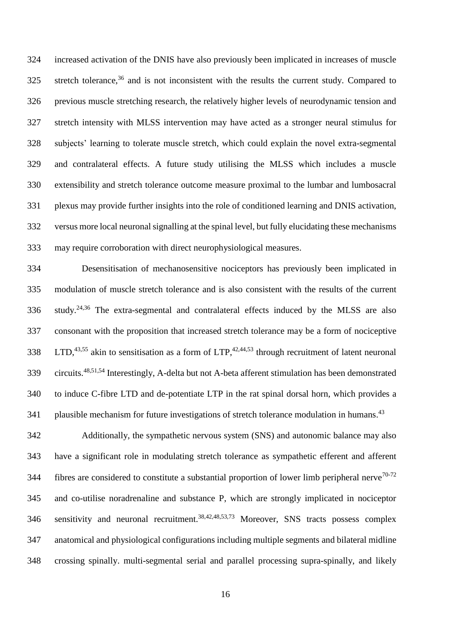increased activation of the DNIS have also previously been implicated in increases of muscle 325 stretch tolerance, and is not inconsistent with the results the current study. Compared to previous muscle stretching research, the relatively higher levels of neurodynamic tension and stretch intensity with MLSS intervention may have acted as a stronger neural stimulus for subjects' learning to tolerate muscle stretch, which could explain the novel extra-segmental and contralateral effects. A future study utilising the MLSS which includes a muscle extensibility and stretch tolerance outcome measure proximal to the lumbar and lumbosacral plexus may provide further insights into the role of conditioned learning and DNIS activation, versus more local neuronal signalling at the spinal level, but fully elucidating these mechanisms may require corroboration with direct neurophysiological measures.

 Desensitisation of mechanosensitive nociceptors has previously been implicated in modulation of muscle stretch tolerance and is also consistent with the results of the current 336 study.<sup>24,36</sup> The extra-segmental and contralateral effects induced by the MLSS are also consonant with the proposition that increased stretch tolerance may be a form of nociceptive 338 LTD,  $43,55$  akin to sensitisation as a form of LTP,  $42,44,53$  through recruitment of latent neuronal 339 circuits.<sup>48,51,54</sup> Interestingly, A-delta but not A-beta afferent stimulation has been demonstrated to induce C-fibre LTD and de-potentiate LTP in the rat spinal dorsal horn, which provides a plausible mechanism for future investigations of stretch tolerance modulation in humans.<sup>43</sup> 

 Additionally, the sympathetic nervous system (SNS) and autonomic balance may also have a significant role in modulating stretch tolerance as sympathetic efferent and afferent fibres are considered to constitute a substantial proportion of lower limb peripheral nerve<sup>70-72</sup> and co-utilise noradrenaline and substance P, which are strongly implicated in nociceptor 346 sensitivity and neuronal recruitment.<sup>38,42,48,53,73</sup> Moreover, SNS tracts possess complex anatomical and physiological configurations including multiple segments and bilateral midline crossing spinally. multi-segmental serial and parallel processing supra-spinally, and likely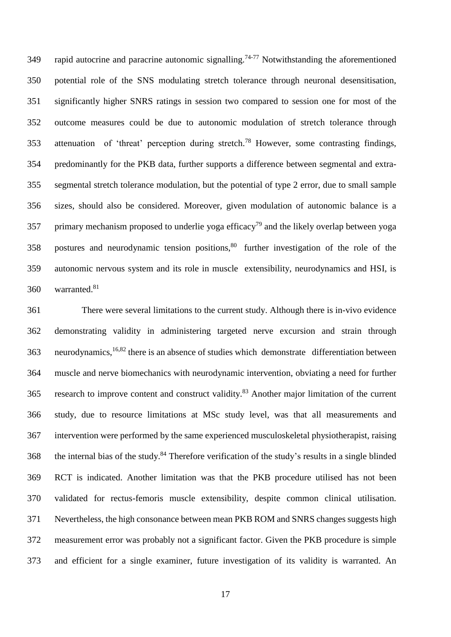349 rapid autocrine and paracrine autonomic signalling.<sup>74-77</sup> Notwithstanding the aforementioned potential role of the SNS modulating stretch tolerance through neuronal desensitisation, significantly higher SNRS ratings in session two compared to session one for most of the outcome measures could be due to autonomic modulation of stretch tolerance through 353 attenuation of 'threat' perception during stretch.<sup>78</sup> However, some contrasting findings, predominantly for the PKB data, further supports a difference between segmental and extra- segmental stretch tolerance modulation, but the potential of type 2 error, due to small sample sizes, should also be considered. Moreover, given modulation of autonomic balance is a 357 primary mechanism proposed to underlie yoga efficacy<sup>79</sup> and the likely overlap between yoga 358 postures and neurodynamic tension positions,<sup>80</sup> further investigation of the role of the autonomic nervous system and its role in muscle extensibility, neurodynamics and HSI, is 360 warranted.<sup>81</sup>

 There were several limitations to the current study. Although there is in-vivo evidence demonstrating validity in administering targeted nerve excursion and strain through 363 neurodynamics,<sup>16,82</sup> there is an absence of studies which demonstrate differentiation between muscle and nerve biomechanics with neurodynamic intervention, obviating a need for further 365 research to improve content and construct validity.<sup>83</sup> Another major limitation of the current study, due to resource limitations at MSc study level, was that all measurements and intervention were performed by the same experienced musculoskeletal physiotherapist, raising 368 the internal bias of the study.<sup>84</sup> Therefore verification of the study's results in a single blinded RCT is indicated. Another limitation was that the PKB procedure utilised has not been validated for rectus-femoris muscle extensibility, despite common clinical utilisation. Nevertheless, the high consonance between mean PKB ROM and SNRS changes suggests high measurement error was probably not a significant factor. Given the PKB procedure is simple and efficient for a single examiner, future investigation of its validity is warranted. An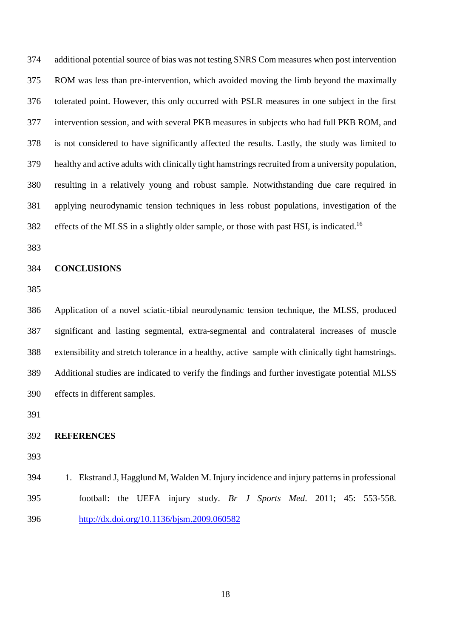additional potential source of bias was not testing SNRS Com measures when post intervention ROM was less than pre-intervention, which avoided moving the limb beyond the maximally tolerated point. However, this only occurred with PSLR measures in one subject in the first intervention session, and with several PKB measures in subjects who had full PKB ROM, and is not considered to have significantly affected the results. Lastly, the study was limited to healthy and active adults with clinically tight hamstrings recruited from a university population, resulting in a relatively young and robust sample. Notwithstanding due care required in applying neurodynamic tension techniques in less robust populations, investigation of the effects of the MLSS in a slightly older sample, or those with past HSI, is indicated.<sup>16</sup> 

#### **CONCLUSIONS**

 Application of a novel sciatic-tibial neurodynamic tension technique, the MLSS, produced significant and lasting segmental, extra-segmental and contralateral increases of muscle extensibility and stretch tolerance in a healthy, active sample with clinically tight hamstrings. Additional studies are indicated to verify the findings and further investigate potential MLSS effects in different samples.

#### **REFERENCES**

 1. Ekstrand J, Hagglund M, Walden M. Injury incidence and injury patterns in professional football: the UEFA injury study. *Br J Sports Med*. 2011; 45: 553-558. <http://dx.doi.org/10.1136/bjsm.2009.060582>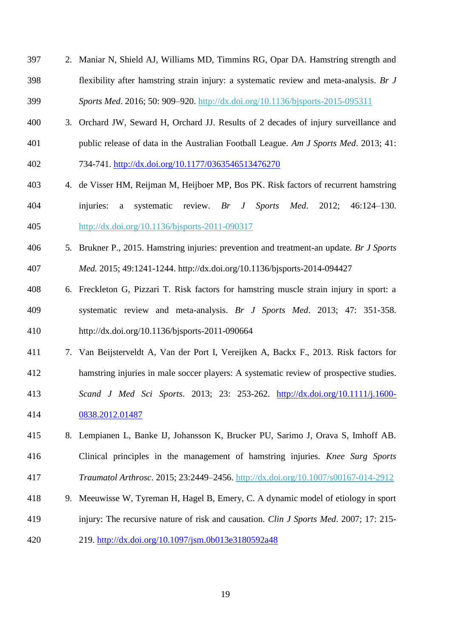- 2. Maniar N, Shield AJ, Williams MD, Timmins RG, Opar DA. Hamstring strength and flexibility after hamstring strain injury: a systematic review and meta-analysis. *Br J Sports Med*. 2016; 50: 909–920. http://dx.doi.org/10.1136/bjsports-2015-095311
- 3. Orchard JW, Seward H, Orchard JJ. Results of 2 decades of injury surveillance and public release of data in the Australian Football League. *Am J Sports Med*. 2013; 41:
- 734-741. <http://dx.doi.org/10.1177/0363546513476270>
- 4. de Visser HM, Reijman M, Heijboer MP, Bos PK. Risk factors of recurrent hamstring injuries: a systematic review. *Br J Sports Med*. 2012; 46:124–130. http://dx.doi.org/10.1136/bjsports-2011-090317
- 5. Brukner P., 2015. Hamstring injuries: prevention and treatment-an update. *Br J Sports Med.* 2015; 49:1241-1244. http://dx.doi.org/10.1136/bjsports-2014-094427
- 6. Freckleton G, Pizzari T. Risk factors for hamstring muscle strain injury in sport: a systematic review and meta-analysis. *Br J Sports Med*. 2013; 47: 351-358. http://dx.doi.org/10.1136/bjsports-2011-090664
- 7. Van Beijsterveldt A, Van der Port I, Vereijken A, Backx F., 2013. Risk factors for
- hamstring injuries in male soccer players: A systematic review of prospective studies.
- *Scand J Med Sci Sports*. 2013; 23: 253-262. [http://dx.doi.org/10.1111/j.1600-](http://dx.doi.org/10.1111/j.1600-0838.2012.01487) [0838.2012.01487](http://dx.doi.org/10.1111/j.1600-0838.2012.01487)
- 8. Lempianen L, Banke IJ, Johansson K, Brucker PU, Sarimo J, Orava S, Imhoff AB. Clinical principles in the management of hamstring injuries. *Knee Surg Sports*
- *Traumatol Arthrosc*. 2015; 23:2449–2456. http://dx.doi.org/10.1007/s00167-014-2912
- 9. Meeuwisse W, Tyreman H, Hagel B, Emery, C. A dynamic model of etiology in sport
- injury: The recursive nature of risk and causation. *Clin J Sports Med*. 2007; 17: 215-
- 219.<http://dx.doi.org/10.1097/jsm.0b013e3180592a48>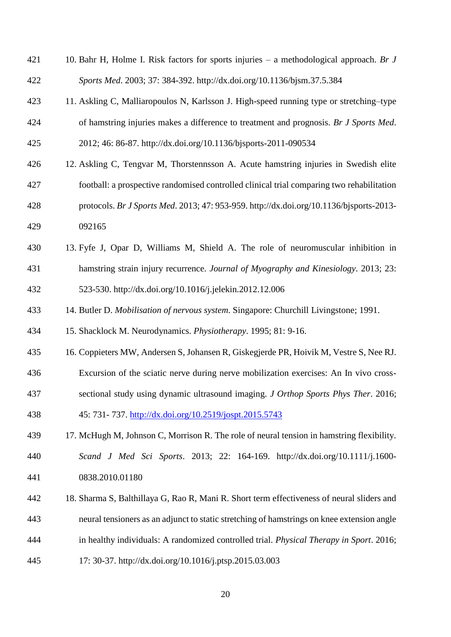| 421 | 10. Bahr H, Holme I. Risk factors for sports injuries $-$ a methodological approach. Br J  |
|-----|--------------------------------------------------------------------------------------------|
| 422 | Sports Med. 2003; 37: 384-392. http://dx.doi.org/10.1136/bjsm.37.5.384                     |
| 423 | 11. Askling C, Malliaropoulos N, Karlsson J. High-speed running type or stretching-type    |
| 424 | of hamstring injuries makes a difference to treatment and prognosis. Br J Sports Med.      |
| 425 | 2012; 46: 86-87. http://dx.doi.org/10.1136/bjsports-2011-090534                            |
| 426 | 12. Askling C, Tengvar M, Thorstennsson A. Acute hamstring injuries in Swedish elite       |
| 427 | football: a prospective randomised controlled clinical trial comparing two rehabilitation  |
| 428 | protocols. Br J Sports Med. 2013; 47: 953-959. http://dx.doi.org/10.1136/bjsports-2013-    |
| 429 | 092165                                                                                     |
| 430 | 13. Fyfe J, Opar D, Williams M, Shield A. The role of neuromuscular inhibition in          |
| 431 | hamstring strain injury recurrence. Journal of Myography and Kinesiology. 2013; 23:        |
| 432 | 523-530. http://dx.doi.org/10.1016/j.jelekin.2012.12.006                                   |
| 433 | 14. Butler D. Mobilisation of nervous system. Singapore: Churchill Livingstone; 1991.      |
| 434 | 15. Shacklock M. Neurodynamics. Physiotherapy. 1995; 81: 9-16.                             |
| 435 | 16. Coppieters MW, Andersen S, Johansen R, Giskegjerde PR, Hoivik M, Vestre S, Nee RJ.     |
| 436 | Excursion of the sciatic nerve during nerve mobilization exercises: An In vivo cross-      |
| 437 | sectional study using dynamic ultrasound imaging. J Orthop Sports Phys Ther. 2016;         |
| 438 | 45: 731-737. http://dx.doi.org/10.2519/jospt.2015.5743                                     |
| 439 | 17. McHugh M, Johnson C, Morrison R. The role of neural tension in hamstring flexibility.  |
| 440 | Scand J Med Sci Sports. 2013; 22: 164-169. http://dx.doi.org/10.1111/j.1600-               |
| 441 | 0838.2010.01180                                                                            |
| 442 | 18. Sharma S, Balthillaya G, Rao R, Mani R. Short term effectiveness of neural sliders and |
| 443 | neural tensioners as an adjunct to static stretching of hamstrings on knee extension angle |
| 444 | in healthy individuals: A randomized controlled trial. Physical Therapy in Sport. 2016;    |
| 445 | 17: 30-37. http://dx.doi.org/10.1016/j.ptsp.2015.03.003                                    |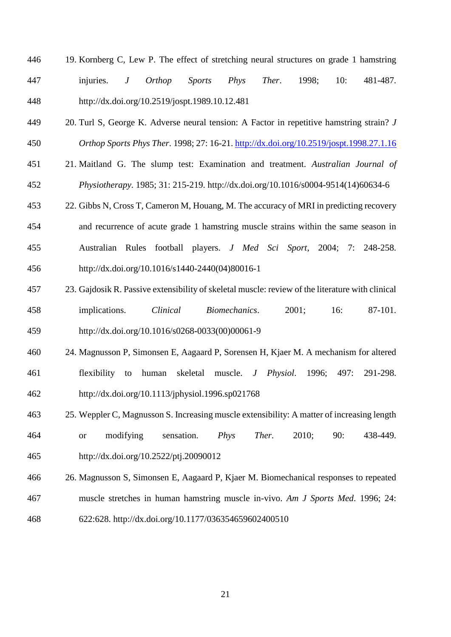- 19. Kornberg C, Lew P. The effect of stretching neural structures on grade 1 hamstring injuries. *J Orthop Sports Phys Ther*. 1998; 10: 481-487. http://dx.doi.org/10.2519/jospt.1989.10.12.481
- 20. Turl S, George K. Adverse neural tension: A Factor in repetitive hamstring strain? *J Orthop Sports Phys Ther*. 1998; 27: 16-21. <http://dx.doi.org/10.2519/jospt.1998.27.1.16>
- 21. Maitland G. The slump test: Examination and treatment. *Australian Journal of Physiotherapy*. 1985; 31: 215-219. http://dx.doi.org/10.1016/s0004-9514(14)60634-6
- 22. Gibbs N, Cross T, Cameron M, Houang, M. The accuracy of MRI in predicting recovery and recurrence of acute grade 1 hamstring muscle strains within the same season in Australian Rules football players. *J Med Sci Sport*, 2004; 7: 248-258. http://dx.doi.org/10.1016/s1440-2440(04)80016-1
- 23. Gajdosik R. Passive extensibility of skeletal muscle: review of the literature with clinical implications. *Clinical Biomechanics*. 2001; 16: 87-101. http://dx.doi.org/10.1016/s0268-0033(00)00061-9
- 24. Magnusson P, Simonsen E, Aagaard P, Sorensen H, Kjaer M. A mechanism for altered flexibility to human skeletal muscle. *J Physiol*. 1996; 497: 291-298. http://dx.doi.org/10.1113/jphysiol.1996.sp021768
- 25. Weppler C, Magnusson S. Increasing muscle extensibility: A matter of increasing length or modifying sensation*. Phys Ther.* 2010; 90: 438-449. http://dx.doi.org/10.2522/ptj.20090012
- 26. Magnusson S, Simonsen E, Aagaard P, Kjaer M. Biomechanical responses to repeated muscle stretches in human hamstring muscle in-vivo. *Am J Sports Med*. 1996; 24:
- 622:628. http://dx.doi.org/10.1177/036354659602400510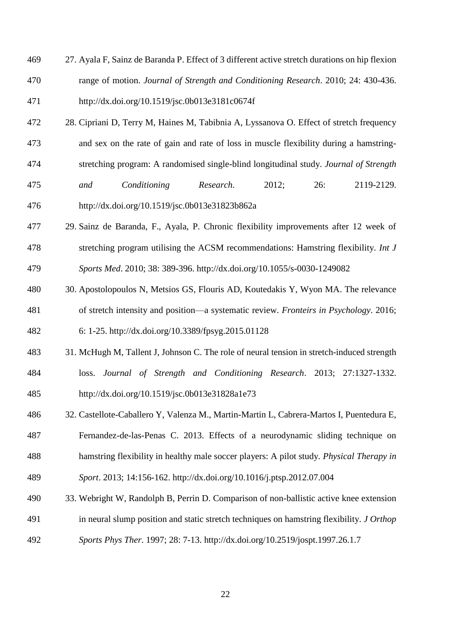- 27. Ayala F, Sainz de Baranda P. Effect of 3 different active stretch durations on hip flexion range of motion. *Journal of Strength and Conditioning Research*. 2010; 24: 430-436. http://dx.doi.org/10.1519/jsc.0b013e3181c0674f
- 28. Cipriani D, Terry M, Haines M, Tabibnia A, Lyssanova O. Effect of stretch frequency
- and sex on the rate of gain and rate of loss in muscle flexibility during a hamstring-
- stretching program: A randomised single-blind longitudinal study. *Journal of Strength*
- *and Conditioning Research*. 2012; 26: 2119-2129. http://dx.doi.org/10.1519/jsc.0b013e31823b862a
- 29. Sainz de Baranda, F., Ayala, P. Chronic flexibility improvements after 12 week of stretching program utilising the ACSM recommendations: Hamstring flexibility. *Int J Sports Med*. 2010; 38: 389-396. http://dx.doi.org/10.1055/s-0030-1249082
- 30. Apostolopoulos N, Metsios GS, Flouris AD, Koutedakis Y, Wyon MA. The relevance of stretch intensity and position—a systematic review. *Fronteirs in Psychology*. 2016;

6: 1-25. http://dx.doi.org/10.3389/fpsyg.2015.01128

- 31. McHugh M, Tallent J, Johnson C. The role of neural tension in stretch-induced strength loss. *Journal of Strength and Conditioning Research*. 2013; 27:1327-1332. http://dx.doi.org/10.1519/jsc.0b013e31828a1e73
- 32. Castellote-Caballero Y, Valenza M., Martin-Martin L, Cabrera-Martos I, Puentedura E, Fernandez-de-las-Penas C. 2013. Effects of a neurodynamic sliding technique on hamstring flexibility in healthy male soccer players: A pilot study. *Physical Therapy in*
- *Sport*. 2013; 14:156-162. http://dx.doi.org/10.1016/j.ptsp.2012.07.004
- 33. Webright W, Randolph B, Perrin D. Comparison of non-ballistic active knee extension
- in neural slump position and static stretch techniques on hamstring flexibility. *J Orthop*
- *Sports Phys Ther*. 1997; 28: 7-13. http://dx.doi.org/10.2519/jospt.1997.26.1.7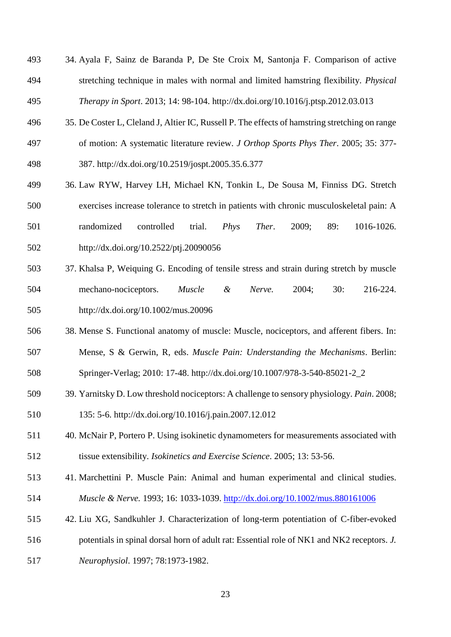- 34. Ayala F, Sainz de Baranda P, De Ste Croix M, Santonja F. Comparison of active stretching technique in males with normal and limited hamstring flexibility. *Physical Therapy in Sport*. 2013; 14: 98-104. http://dx.doi.org/10.1016/j.ptsp.2012.03.013
- 35. De Coster L, Cleland J, Altier IC, Russell P. The effects of hamstring stretching on range
- of motion: A systematic literature review. *J Orthop Sports Phys Ther*. 2005; 35: 377- 387. http://dx.doi.org/10.2519/jospt.2005.35.6.377
- 36. Law RYW, Harvey LH, Michael KN, Tonkin L, De Sousa M, Finniss DG. Stretch exercises increase tolerance to stretch in patients with chronic musculoskeletal pain: A randomized controlled trial. *Phys Ther*. 2009; 89: 1016-1026. http://dx.doi.org/10.2522/ptj.20090056
- 37. Khalsa P, Weiquing G. Encoding of tensile stress and strain during stretch by muscle mechano-nociceptors. *Muscle & Nerve.* 2004; 30: 216-224. http://dx.doi.org/10.1002/mus.20096
- 38. Mense S. Functional anatomy of muscle: Muscle, nociceptors, and afferent fibers. In: Mense, S & Gerwin, R, eds. *Muscle Pain: Understanding the Mechanisms*. Berlin:
- Springer-Verlag; 2010: 17-48. http://dx.doi.org/10.1007/978-3-540-85021-2\_2
- 39. Yarnitsky D. Low threshold nociceptors: A challenge to sensory physiology. *Pain*. 2008; 135: 5-6. http://dx.doi.org/10.1016/j.pain.2007.12.012
- 40. McNair P, Portero P. Using isokinetic dynamometers for measurements associated with tissue extensibility. *Isokinetics and Exercise Science*. 2005; 13: 53-56.
- 41. Marchettini P. Muscle Pain: Animal and human experimental and clinical studies. *Muscle & Nerve.* 1993; 16: 1033-1039. <http://dx.doi.org/10.1002/mus.880161006>
- 42. Liu XG, Sandkuhler J. Characterization of long-term potentiation of C-fiber-evoked
- potentials in spinal dorsal horn of adult rat: Essential role of NK1 and NK2 receptors. *J.*
- *Neurophysiol*. 1997; 78:1973-1982.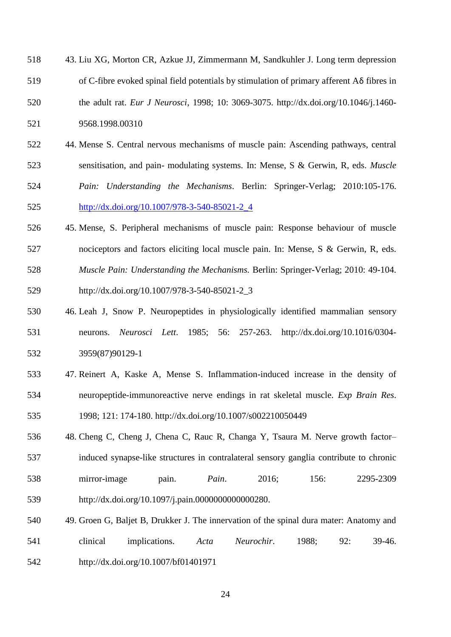| 518 | 43. Liu XG, Morton CR, Azkue JJ, Zimmermann M, Sandkuhler J. Long term depression                |
|-----|--------------------------------------------------------------------------------------------------|
| 519 | of C-fibre evoked spinal field potentials by stimulation of primary afferent $A\delta$ fibres in |
| 520 | the adult rat. Eur J Neurosci, 1998; 10: 3069-3075. http://dx.doi.org/10.1046/j.1460-            |
| 521 | 9568.1998.00310                                                                                  |

- 44. Mense S. Central nervous mechanisms of muscle pain: Ascending pathways, central sensitisation, and pain- modulating systems. In: Mense, S & Gerwin, R, eds. *Muscle Pain: Understanding the Mechanisms*. Berlin: Springer-Verlag; 2010:105-176. [http://dx.doi.org/10.1007/978-3-540-85021-2\\_4](http://dx.doi.org/10.1007/978-3-540-85021-2_4)
- 45. Mense, S. Peripheral mechanisms of muscle pain: Response behaviour of muscle nociceptors and factors eliciting local muscle pain. In: Mense, S & Gerwin, R, eds. *Muscle Pain: Understanding the Mechanisms.* Berlin: Springer-Verlag; 2010: 49-104. http://dx.doi.org/10.1007/978-3-540-85021-2\_3
- 46. Leah J, Snow P. Neuropeptides in physiologically identified mammalian sensory neurons. *Neurosci Lett*. 1985; 56: 257-263. http://dx.doi.org/10.1016/0304- 3959(87)90129-1
- 47. Reinert A, Kaske A, Mense S. Inflammation-induced increase in the density of neuropeptide-immunoreactive nerve endings in rat skeletal muscle. *Exp Brain Res*. 1998; 121: 174-180. http://dx.doi.org/10.1007/s002210050449
- 48. Cheng C, Cheng J, Chena C, Rauc R, Changa Y, Tsaura M. Nerve growth factor– induced synapse-like structures in contralateral sensory ganglia contribute to chronic mirror-image pain. *Pain*. 2016; 156: 2295-2309 http://dx.doi.org/10.1097/j.pain.0000000000000280.
- 49. Groen G, Baljet B, Drukker J. The innervation of the spinal dura mater: Anatomy and clinical implications. *Acta Neurochir*. 1988; 92: 39-46. http://dx.doi.org/10.1007/bf01401971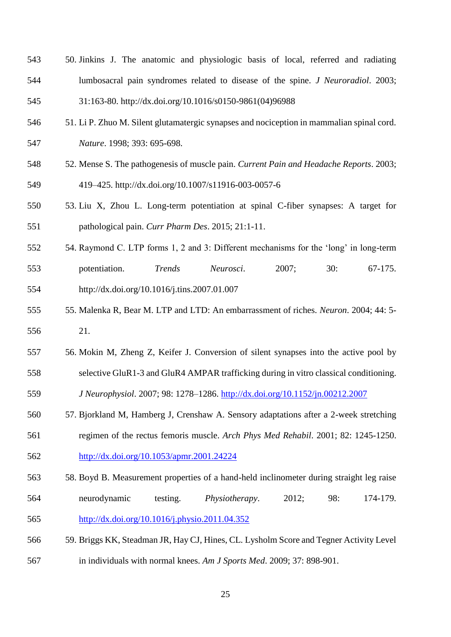- 50. Jinkins J. The anatomic and physiologic basis of local, referred and radiating lumbosacral pain syndromes related to disease of the spine. *J Neuroradiol*. 2003; 31:163-80. http://dx.doi.org/10.1016/s0150-9861(04)96988
- 51. Li P. Zhuo M. Silent glutamatergic synapses and nociception in mammalian spinal cord. *Nature*. 1998; 393: 695-698.
- 52. Mense S. The pathogenesis of muscle pain. *Current Pain and Headache Reports*. 2003; 419–425. http://dx.doi.org/10.1007/s11916-003-0057-6
- 53. Liu X, Zhou L. Long-term potentiation at spinal C-fiber synapses: A target for pathological pain. *Curr Pharm Des*. 2015; 21:1-11.
- 54. Raymond C. LTP forms 1, 2 and 3: Different mechanisms for the 'long' in long-term potentiation. *Trends Neurosci*. 2007; 30: 67-175. http://dx.doi.org/10.1016/j.tins.2007.01.007
- 55. Malenka R, Bear M. LTP and LTD: An embarrassment of riches. *Neuron*. 2004; 44: 5- 21.
- 56. Mokin M, Zheng Z, Keifer J. Conversion of silent synapses into the active pool by
- selective GluR1-3 and GluR4 AMPAR trafficking during in vitro classical conditioning.
- *J Neurophysiol*. 2007; 98: 1278–1286. <http://dx.doi.org/10.1152/jn.00212.2007>
- 57. Bjorkland M, Hamberg J, Crenshaw A. Sensory adaptations after a 2-week stretching regimen of the rectus femoris muscle. *Arch Phys Med Rehabil*. 2001; 82: 1245-1250.
- <http://dx.doi.org/10.1053/apmr.2001.24224>
- 58. Boyd B. Measurement properties of a hand-held inclinometer during straight leg raise neurodynamic testing. *Physiotherapy*. 2012; 98: 174-179. <http://dx.doi.org/10.1016/j.physio.2011.04.352>
- 59. Briggs KK, Steadman JR, Hay CJ, Hines, CL. Lysholm Score and Tegner Activity Level in individuals with normal knees. *Am J Sports Med*. 2009; 37: 898-901.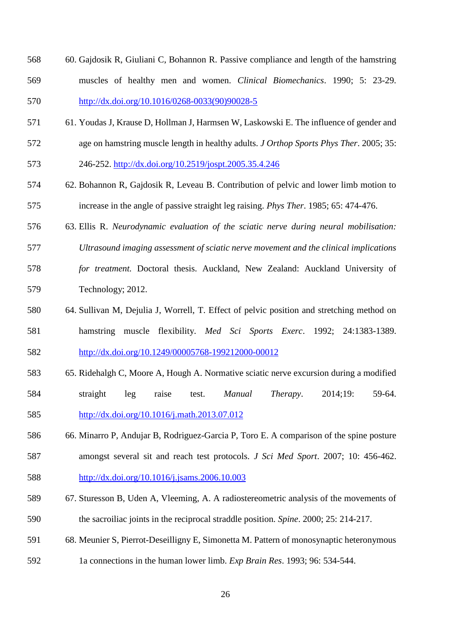- 60. Gajdosik R, Giuliani C, Bohannon R. Passive compliance and length of the hamstring muscles of healthy men and women. *Clinical Biomechanics*. 1990; 5: 23-29. [http://dx.doi.org/10.1016/0268-0033\(90\)90028-5](http://dx.doi.org/10.1016/0268-0033(90)90028-5)
- 61. Youdas J, Krause D, Hollman J, Harmsen W, Laskowski E. The influence of gender and age on hamstring muscle length in healthy adults. *J Orthop Sports Phys Ther*. 2005; 35:
- 246-252. <http://dx.doi.org/10.2519/jospt.2005.35.4.246>
- 62. Bohannon R, Gajdosik R, Leveau B. Contribution of pelvic and lower limb motion to increase in the angle of passive straight leg raising. *Phys Ther*. 1985; 65: 474-476.
- 63. Ellis R. *Neurodynamic evaluation of the sciatic nerve during neural mobilisation:*
- *Ultrasound imaging assessment of sciatic nerve movement and the clinical implications*
- *for treatment.* Doctoral thesis. Auckland, New Zealand: Auckland University of Technology; 2012.
- 64. Sullivan M, Dejulia J, Worrell, T. Effect of pelvic position and stretching method on hamstring muscle flexibility. *Med Sci Sports Exerc*. 1992; 24:1383-1389. <http://dx.doi.org/10.1249/00005768-199212000-00012>
- 65. Ridehalgh C, Moore A, Hough A. Normative sciatic nerve excursion during a modified straight leg raise test. *Manual Therapy*. 2014;19: 59-64. <http://dx.doi.org/10.1016/j.math.2013.07.012>
- 66. Minarro P, Andujar B, Rodriguez-Garcia P, Toro E. A comparison of the spine posture amongst several sit and reach test protocols. *J Sci Med Sport*. 2007; 10: 456-462.
- <http://dx.doi.org/10.1016/j.jsams.2006.10.003>
- 67. Sturesson B, Uden A, Vleeming, A. A radiostereometric analysis of the movements of the sacroiliac joints in the reciprocal straddle position. *Spine*. 2000; 25: 214-217.
- 68. Meunier S, Pierrot-Deseilligny E, Simonetta M. Pattern of monosynaptic heteronymous
- 1a connections in the human lower limb. *Exp Brain Res*. 1993; 96: 534-544.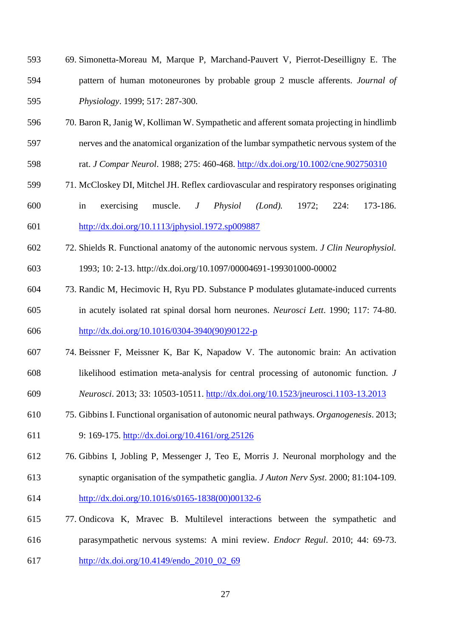- 69. Simonetta-Moreau M, Marque P, Marchand-Pauvert V, Pierrot-Deseilligny E. The pattern of human motoneurones by probable group 2 muscle afferents. *Journal of Physiology*. 1999; 517: 287-300.
- 70. Baron R, Janig W, Kolliman W. Sympathetic and afferent somata projecting in hindlimb
- nerves and the anatomical organization of the lumbar sympathetic nervous system of the
- rat. *J Compar Neurol*. 1988; 275: 460-468. <http://dx.doi.org/10.1002/cne.902750310>
- 71. McCloskey DI, Mitchel JH. Reflex cardiovascular and respiratory responses originating
- in exercising muscle. *J Physiol (Lond).* 1972; 224: 173-186. <http://dx.doi.org/10.1113/jphysiol.1972.sp009887>
- 72. Shields R. Functional anatomy of the autonomic nervous system. *J Clin Neurophysiol.*
- 1993; 10: 2-13. http://dx.doi.org/10.1097/00004691-199301000-00002
- 73. Randic M, Hecimovic H, Ryu PD. Substance P modulates glutamate-induced currents in acutely isolated rat spinal dorsal horn neurones. *Neurosci Lett*. 1990; 117: 74-80.
- [http://dx.doi.org/10.1016/0304-3940\(90\)90122-p](http://dx.doi.org/10.1016/0304-3940(90)90122-p)
- 74. Beissner F, Meissner K, Bar K, Napadow V. The autonomic brain: An activation likelihood estimation meta-analysis for central processing of autonomic function. *J*
- *Neurosci*. 2013; 33: 10503-10511. <http://dx.doi.org/10.1523/jneurosci.1103-13.2013>
- 75. Gibbins I. Functional organisation of autonomic neural pathways. *Organogenesis*. 2013;
- 9: 169-175. <http://dx.doi.org/10.4161/org.25126>
- 76. Gibbins I, Jobling P, Messenger J, Teo E, Morris J. Neuronal morphology and the
- synaptic organisation of the sympathetic ganglia. *J Auton Nerv Syst*. 2000; 81:104-109. [http://dx.doi.org/10.1016/s0165-1838\(00\)00132-6](http://dx.doi.org/10.1016/s0165-1838(00)00132-6)
- 77. Ondicova K, Mravec B. Multilevel interactions between the sympathetic and parasympathetic nervous systems: A mini review. *Endocr Regul*. 2010; 44: 69-73.
- [http://dx.doi.org/10.4149/endo\\_2010\\_02\\_69](http://dx.doi.org/10.4149/endo_2010_02_69)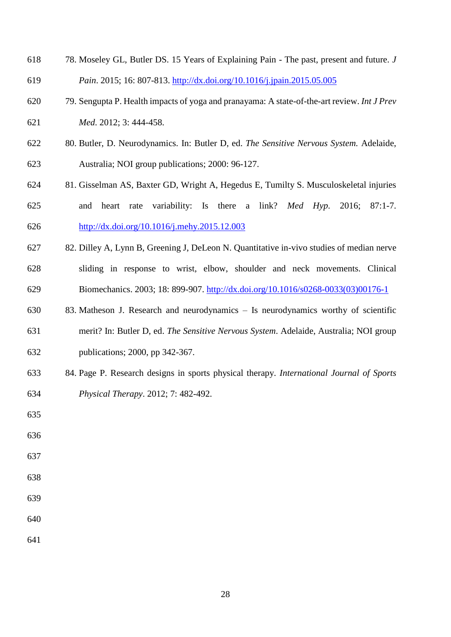- 78. Moseley GL, Butler DS. 15 Years of Explaining Pain The past, present and future. *J Pain*. 2015; 16: 807-813.<http://dx.doi.org/10.1016/j.jpain.2015.05.005>
- 79. Sengupta P. Health impacts of yoga and pranayama: A state-of-the-art review. *Int J Prev*
- *Med*. 2012; 3: 444-458.
- 80. Butler, D. Neurodynamics. In: Butler D, ed. *The Sensitive Nervous System.* Adelaide, Australia; NOI group publications; 2000: 96-127.
- 81. Gisselman AS, Baxter GD, Wright A, Hegedus E, Tumilty S. Musculoskeletal injuries and heart rate variability: Is there a link? *Med Hyp*. 2016; 87:1-7. <http://dx.doi.org/10.1016/j.mehy.2015.12.003>
- 82. Dilley A, Lynn B, Greening J, DeLeon N. Quantitative in-vivo studies of median nerve sliding in response to wrist, elbow, shoulder and neck movements. Clinical Biomechanics. 2003; 18: 899-907. [http://dx.doi.org/10.1016/s0268-0033\(03\)00176-1](http://dx.doi.org/10.1016/s0268-0033(03)00176-1)
- 83. Matheson J. Research and neurodynamics Is neurodynamics worthy of scientific merit? In: Butler D, ed. *The Sensitive Nervous System*. Adelaide, Australia; NOI group publications; 2000, pp 342-367.
- 84. Page P. Research designs in sports physical therapy. *International Journal of Sports Physical Therapy*. 2012; 7: 482-492.
- 

- 
- 
- 
- 
-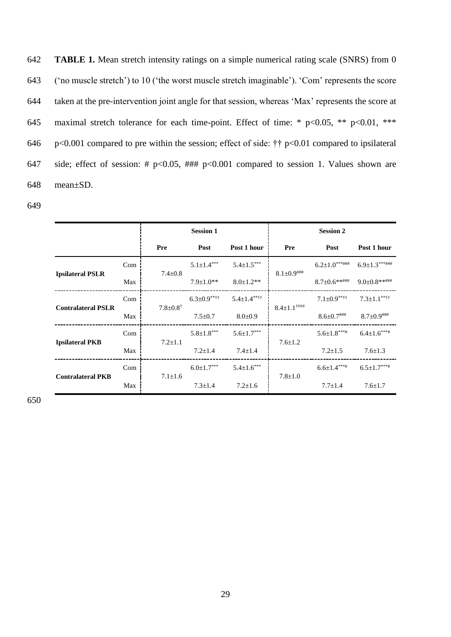**TABLE 1.** Mean stretch intensity ratings on a simple numerical rating scale (SNRS) from 0 ('no muscle stretch') to 10 ('the worst muscle stretch imaginable'). 'Com' represents the score taken at the pre-intervention joint angle for that session, whereas 'Max' represents the score at maximal stretch tolerance for each time-point. Effect of time: \* p<0.05, \*\* p<0.01, \*\*\* p<0.001 compared to pre within the session; effect of side: †† p<0.01 compared to ipsilateral 647 side; effect of session: #  $p<0.05$ , ###  $p<0.001$  compared to session 1. Values shown are 648 mean±SD.

649

|                           |     |                            | <b>Session 1</b>   |                    |                                 | <b>Session 2</b>              |                      |
|---------------------------|-----|----------------------------|--------------------|--------------------|---------------------------------|-------------------------------|----------------------|
|                           |     | <b>Pre</b>                 | Post               | Post 1 hour        | <b>Pre</b>                      | Post                          | Post 1 hour          |
|                           | Com | $7.4 \pm 0.8$              | $5.1 \pm 1.4***$   | $5.4 \pm 1.5***$   | $8.1 \pm 0.9$ ###               | $6.2{\pm}1.0^{***\#}\#$       | $6.9 \pm 1.3***$ ### |
| <b>Ipsilateral PSLR</b>   | Max |                            | $7.9+1.0**$        | $8.0 \pm 1.2**$    |                                 | $8.7 \pm 0.6$ ******          | $9.0 \pm 0.8$ ****** |
|                           | Com | $7.8 \pm 0.8$ <sup>†</sup> | $6.3 \pm 0.9$ **** | $5.4 \pm 1.4$ **** | $8.4 \pm 1.1^{\dagger\# \# \#}$ | $7.1 \pm 0.9$ <sup>**††</sup> | $7.3 \pm 1.1$ **††   |
| <b>Contralateral PSLR</b> | Max |                            | $7.5 \pm 0.7$      | $8.0 \pm 0.9$      |                                 | $8.6 \pm 0.7$ ###             | $8.7 \pm 0.9$ ###    |
|                           | Com | $7.2 \pm 1.1$              | $5.8 \pm 1.8***$   | $5.6 \pm 1.7***$   | $7.6 \pm 1.2$                   | $5.6 \pm 1.8***$ #            | $6.4 \pm 1.6***$     |
| <b>Ipsilateral PKB</b>    | Max |                            | $7.2 \pm 1.4$      | $7.4 \pm 1.4$      |                                 | $7.2 \pm 1.5$                 | $7.6 \pm 1.3$        |
|                           | Com | $7.1 \pm 1.6$              | $6.0 \pm 1.7***$   | $5.4 \pm 1.6***$   | $7.8 \pm 1.0$                   | $6.6 \pm 1.4***$              | $6.5 \pm 1.7***$     |
| <b>Contralateral PKB</b>  | Max |                            | $7.3 \pm 1.4$      | $7.2 \pm 1.6$      |                                 | $7.7 \pm 1.4$                 | $7.6 \pm 1.7$        |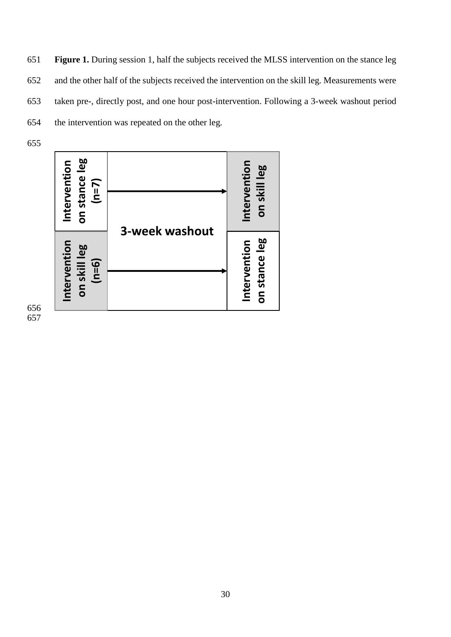**Figure 1.** During session 1, half the subjects received the MLSS intervention on the stance leg and the other half of the subjects received the intervention on the skill leg. Measurements were taken pre-, directly post, and one hour post-intervention. Following a 3-week washout period the intervention was repeated on the other leg.

655

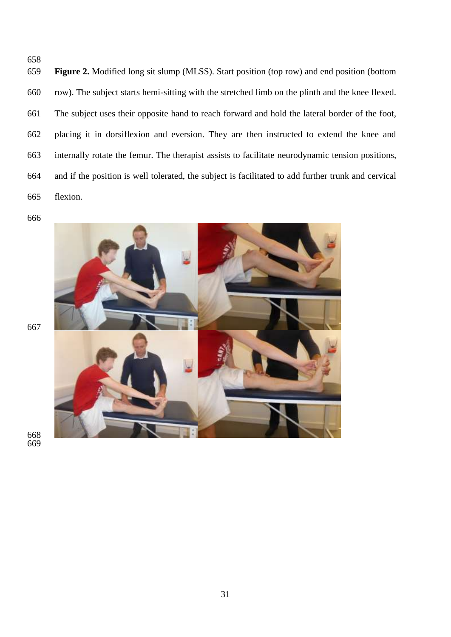**Figure 2.** Modified long sit slump (MLSS). Start position (top row) and end position (bottom row). The subject starts hemi-sitting with the stretched limb on the plinth and the knee flexed. The subject uses their opposite hand to reach forward and hold the lateral border of the foot, placing it in dorsiflexion and eversion. They are then instructed to extend the knee and internally rotate the femur. The therapist assists to facilitate neurodynamic tension positions, and if the position is well tolerated, the subject is facilitated to add further trunk and cervical flexion.

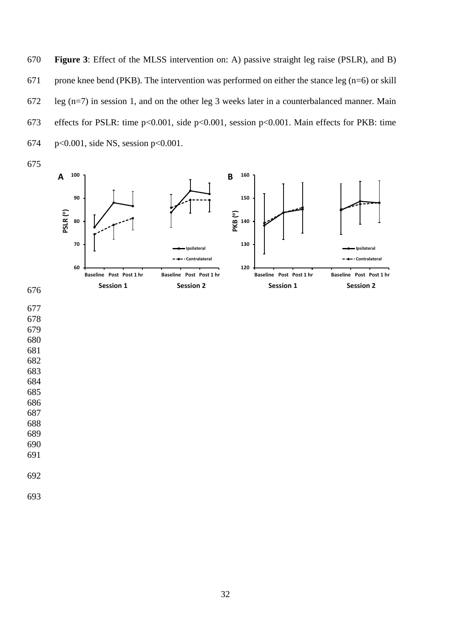**Figure 3**: Effect of the MLSS intervention on: A) passive straight leg raise (PSLR), and B) 671 prone knee bend (PKB). The intervention was performed on either the stance leg (n=6) or skill leg (n=7) in session 1, and on the other leg 3 weeks later in a counterbalanced manner. Main effects for PSLR: time p<0.001, side p<0.001, session p<0.001. Main effects for PKB: time p<0.001, side NS, session p<0.001.

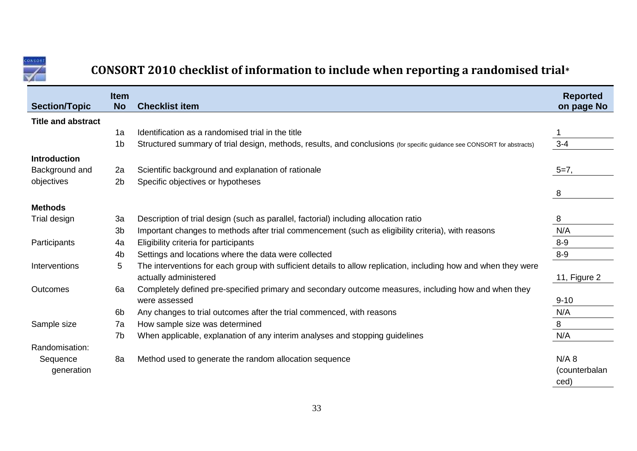

## **CONSORT 2010 checklist of information to include when reporting a randomised trial\***

|                           | <b>Item</b>    |                                                                                                                         | <b>Reported</b> |
|---------------------------|----------------|-------------------------------------------------------------------------------------------------------------------------|-----------------|
| <b>Section/Topic</b>      | <b>No</b>      | <b>Checklist item</b>                                                                                                   | on page No      |
| <b>Title and abstract</b> |                |                                                                                                                         |                 |
|                           | 1a             | Identification as a randomised trial in the title                                                                       |                 |
|                           | 1 <sub>b</sub> | Structured summary of trial design, methods, results, and conclusions (for specific guidance see CONSORT for abstracts) | $3 - 4$         |
| <b>Introduction</b>       |                |                                                                                                                         |                 |
| Background and            | 2a             | Scientific background and explanation of rationale                                                                      | $5=7$ ,         |
| objectives                | 2 <sub>b</sub> | Specific objectives or hypotheses                                                                                       |                 |
|                           |                |                                                                                                                         | 8               |
| <b>Methods</b>            |                |                                                                                                                         |                 |
| Trial design              | 3a             | Description of trial design (such as parallel, factorial) including allocation ratio                                    | 8               |
|                           | 3 <sub>b</sub> | Important changes to methods after trial commencement (such as eligibility criteria), with reasons                      | N/A             |
| Participants              | 4a             | Eligibility criteria for participants                                                                                   | $8-9$           |
|                           | 4b             | Settings and locations where the data were collected                                                                    | $8-9$           |
| Interventions             | 5              | The interventions for each group with sufficient details to allow replication, including how and when they were         |                 |
|                           |                | actually administered                                                                                                   | 11, Figure 2    |
| Outcomes                  | 6a             | Completely defined pre-specified primary and secondary outcome measures, including how and when they                    |                 |
|                           |                | were assessed                                                                                                           | $9 - 10$        |
|                           | 6b             | Any changes to trial outcomes after the trial commenced, with reasons                                                   | N/A             |
| Sample size               | 7a             | How sample size was determined                                                                                          | 8               |
|                           | 7b             | When applicable, explanation of any interim analyses and stopping guidelines                                            | N/A             |
| Randomisation:            |                |                                                                                                                         |                 |
| Sequence                  | 8a             | Method used to generate the random allocation sequence                                                                  | $N/A$ 8         |
| generation                |                |                                                                                                                         | (counterbalan   |
|                           |                |                                                                                                                         | ced)            |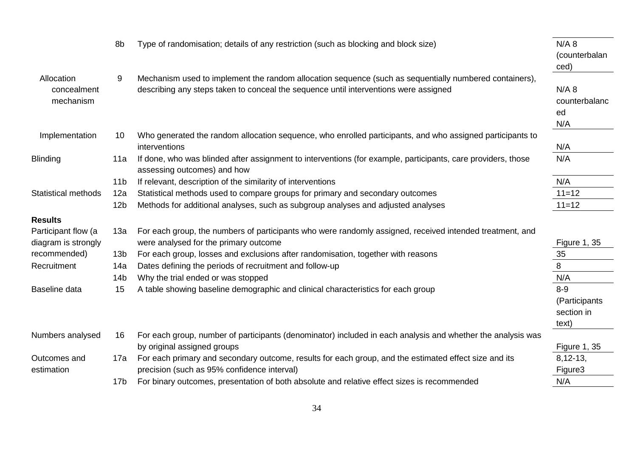|                            | 8b              | Type of randomisation; details of any restriction (such as blocking and block size)                          | $N/A$ 8             |
|----------------------------|-----------------|--------------------------------------------------------------------------------------------------------------|---------------------|
|                            |                 |                                                                                                              | (counterbalan       |
|                            |                 |                                                                                                              | ced)                |
| Allocation                 | 9               | Mechanism used to implement the random allocation sequence (such as sequentially numbered containers),       |                     |
| concealment                |                 | describing any steps taken to conceal the sequence until interventions were assigned                         | $N/A$ 8             |
| mechanism                  |                 |                                                                                                              | counterbalanc       |
|                            |                 |                                                                                                              | ed                  |
|                            |                 |                                                                                                              | N/A                 |
| Implementation             | 10              | Who generated the random allocation sequence, who enrolled participants, and who assigned participants to    |                     |
|                            |                 | interventions                                                                                                | N/A                 |
| <b>Blinding</b>            | 11a             | If done, who was blinded after assignment to interventions (for example, participants, care providers, those | N/A                 |
|                            |                 | assessing outcomes) and how                                                                                  |                     |
|                            | 11 <sub>b</sub> | If relevant, description of the similarity of interventions                                                  | N/A                 |
| <b>Statistical methods</b> | 12a             | Statistical methods used to compare groups for primary and secondary outcomes                                | $11=12$             |
|                            | 12 <sub>b</sub> | Methods for additional analyses, such as subgroup analyses and adjusted analyses                             | $11=12$             |
| <b>Results</b>             |                 |                                                                                                              |                     |
| Participant flow (a        | 13a             | For each group, the numbers of participants who were randomly assigned, received intended treatment, and     |                     |
| diagram is strongly        |                 | were analysed for the primary outcome                                                                        | <b>Figure 1, 35</b> |
| recommended)               | 13 <sub>b</sub> | For each group, losses and exclusions after randomisation, together with reasons                             | 35                  |
| Recruitment                | 14a             | Dates defining the periods of recruitment and follow-up                                                      | 8                   |
|                            | 14 <sub>b</sub> | Why the trial ended or was stopped                                                                           | N/A                 |
| Baseline data              | 15              | A table showing baseline demographic and clinical characteristics for each group                             | $8-9$               |
|                            |                 |                                                                                                              | (Participants       |
|                            |                 |                                                                                                              | section in          |
|                            |                 |                                                                                                              | text)               |
| Numbers analysed           | 16              | For each group, number of participants (denominator) included in each analysis and whether the analysis was  |                     |
|                            |                 | by original assigned groups                                                                                  | <b>Figure 1, 35</b> |
| Outcomes and               | 17a             | For each primary and secondary outcome, results for each group, and the estimated effect size and its        | $8,12-13,$          |
| estimation                 |                 | precision (such as 95% confidence interval)                                                                  | Figure3             |
|                            | 17 <sub>b</sub> | For binary outcomes, presentation of both absolute and relative effect sizes is recommended                  | N/A                 |
|                            |                 |                                                                                                              |                     |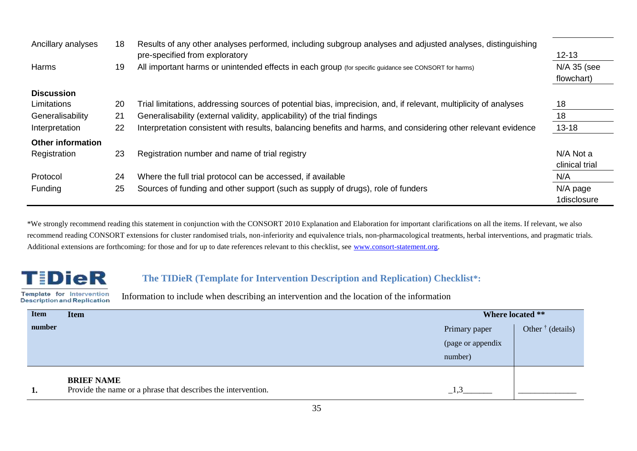| Ancillary analyses       | 18 | Results of any other analyses performed, including subgroup analyses and adjusted analyses, distinguishing<br>pre-specified from exploratory | $12 - 13$                 |
|--------------------------|----|----------------------------------------------------------------------------------------------------------------------------------------------|---------------------------|
| Harms                    | 19 | All important harms or unintended effects in each group (for specific guidance see CONSORT for harms)                                        | N/A 35 (see<br>flowchart) |
| <b>Discussion</b>        |    |                                                                                                                                              |                           |
| Limitations              | 20 | Trial limitations, addressing sources of potential bias, imprecision, and, if relevant, multiplicity of analyses                             | 18                        |
| Generalisability         | 21 | Generalisability (external validity, applicability) of the trial findings                                                                    | 18                        |
| Interpretation           | 22 | Interpretation consistent with results, balancing benefits and harms, and considering other relevant evidence                                | $13 - 18$                 |
| <b>Other information</b> |    |                                                                                                                                              |                           |
| Registration             | 23 | Registration number and name of trial registry                                                                                               | N/A Not a                 |
|                          |    |                                                                                                                                              | clinical trial            |
| Protocol                 | 24 | Where the full trial protocol can be accessed, if available                                                                                  | N/A                       |
| Funding                  | 25 | Sources of funding and other support (such as supply of drugs), role of funders                                                              | N/A page                  |
|                          |    |                                                                                                                                              | 1disclosure               |

\*We strongly recommend reading this statement in conjunction with the CONSORT 2010 Explanation and Elaboration for important clarifications on all the items. If relevant, we also recommend reading CONSORT extensions for cluster randomised trials, non-inferiority and equivalence trials, non-pharmacological treatments, herbal interventions, and pragmatic trials. Additional extensions are forthcoming: for those and for up to date references relevant to this checklist, see [www.consort-statement.org.](http://www.consort-statement.org/)

# **TiDieR**

### **The TIDieR (Template for Intervention Description and Replication) Checklist\*:**

Template for Intervention **Description and Replication** 

Information to include when describing an intervention and the location of the information

| <b>Item</b> | <b>Item</b>                                                   |                   | Where located **          |  |  |
|-------------|---------------------------------------------------------------|-------------------|---------------------------|--|--|
| number      |                                                               | Primary paper     | Other $\dagger$ (details) |  |  |
|             |                                                               | (page or appendix |                           |  |  |
|             |                                                               | number)           |                           |  |  |
|             | <b>BRIEF NAME</b>                                             |                   |                           |  |  |
|             | Provide the name or a phrase that describes the intervention. |                   |                           |  |  |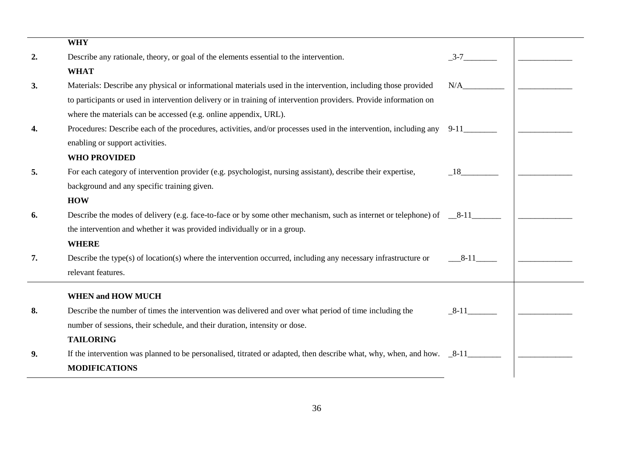|    | <b>WHY</b>                                                                                                                  |        |  |
|----|-----------------------------------------------------------------------------------------------------------------------------|--------|--|
| 2. | Describe any rationale, theory, or goal of the elements essential to the intervention.                                      | $3-7$  |  |
|    | <b>WHAT</b>                                                                                                                 |        |  |
| 3. | Materials: Describe any physical or informational materials used in the intervention, including those provided              | N/A    |  |
|    | to participants or used in intervention delivery or in training of intervention providers. Provide information on           |        |  |
|    | where the materials can be accessed (e.g. online appendix, URL).                                                            |        |  |
| 4. | Procedures: Describe each of the procedures, activities, and/or processes used in the intervention, including any 9-11_____ |        |  |
|    | enabling or support activities.                                                                                             |        |  |
|    | <b>WHO PROVIDED</b>                                                                                                         |        |  |
| 5. | For each category of intervention provider (e.g. psychologist, nursing assistant), describe their expertise,                | 18     |  |
|    | background and any specific training given.                                                                                 |        |  |
|    | <b>HOW</b>                                                                                                                  |        |  |
| 6. | Describe the modes of delivery (e.g. face-to-face or by some other mechanism, such as internet or telephone) of $\sim 8-11$ |        |  |
|    | the intervention and whether it was provided individually or in a group.                                                    |        |  |
|    | <b>WHERE</b>                                                                                                                |        |  |
| 7. | Describe the type(s) of location(s) where the intervention occurred, including any necessary infrastructure or              | $8-11$ |  |
|    | relevant features.                                                                                                          |        |  |
|    | <b>WHEN and HOW MUCH</b>                                                                                                    |        |  |
| 8. | Describe the number of times the intervention was delivered and over what period of time including the                      | $8-11$ |  |
|    | number of sessions, their schedule, and their duration, intensity or dose.                                                  |        |  |
|    | <b>TAILORING</b>                                                                                                            |        |  |
| 9. | If the intervention was planned to be personalised, titrated or adapted, then describe what, why, when, and how. $8-11$     |        |  |
|    | <b>MODIFICATIONS</b>                                                                                                        |        |  |
|    |                                                                                                                             |        |  |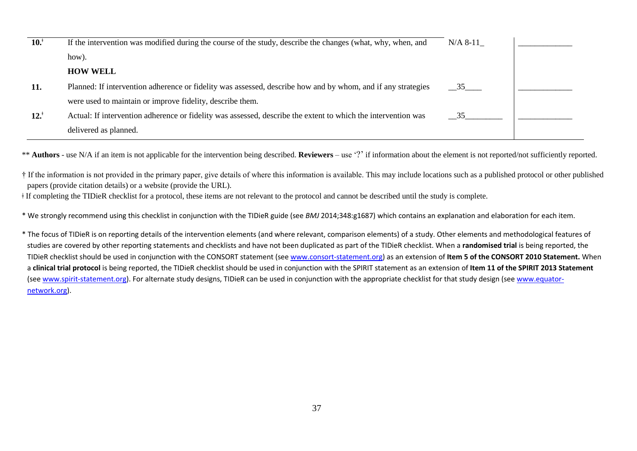| 10. <sup>†</sup> | If the intervention was modified during the course of the study, describe the changes (what, why, when, and   | $N/A 8-11$         |  |
|------------------|---------------------------------------------------------------------------------------------------------------|--------------------|--|
|                  | how).                                                                                                         |                    |  |
|                  | <b>HOW WELL</b>                                                                                               |                    |  |
| 11.              | Planned: If intervention adherence or fidelity was assessed, describe how and by whom, and if any strategies  | 35                 |  |
|                  | were used to maintain or improve fidelity, describe them.                                                     |                    |  |
| $12.^{\dagger}$  | Actual: If intervention adherence or fidelity was assessed, describe the extent to which the intervention was | $35$ <sub>——</sub> |  |
|                  | delivered as planned.                                                                                         |                    |  |

\*\* **Authors** - use N/A if an item is not applicable for the intervention being described. **Reviewers** – use '?' if information about the element is not reported/not sufficiently reported.

† If the information is not provided in the primary paper, give details of where this information is available. This may include locations such as a published protocol or other published papers (provide citation details) or a website (provide the URL).

ǂ If completing the TIDieR checklist for a protocol, these items are not relevant to the protocol and cannot be described until the study is complete.

\* We strongly recommend using this checklist in conjunction with the TIDieR guide (see *BMJ* 2014;348:g1687) which contains an explanation and elaboration for each item.

\* The focus of TIDieR is on reporting details of the intervention elements (and where relevant, comparison elements) of a study. Other elements and methodological features of studies are covered by other reporting statements and checklists and have not been duplicated as part of the TIDieR checklist. When a **randomised trial** is being reported, the TIDieR checklist should be used in conjunction with the CONSORT statement (see [www.consort-statement.org\)](http://www.consort-statement.org/) as an extension of **Item 5 of the CONSORT 2010 Statement.** When a **clinical trial protocol** is being reported, the TIDieR checklist should be used in conjunction with the SPIRIT statement as an extension of **Item 11 of the SPIRIT 2013 Statement** (see [www.spirit-statement.org\)](http://www.spirit-statement.org/). For alternate study designs, TIDieR can be used in conjunction with the appropriate checklist for that study design (see [www.equator](http://www.equator-network.org/)[network.org\)](http://www.equator-network.org/).